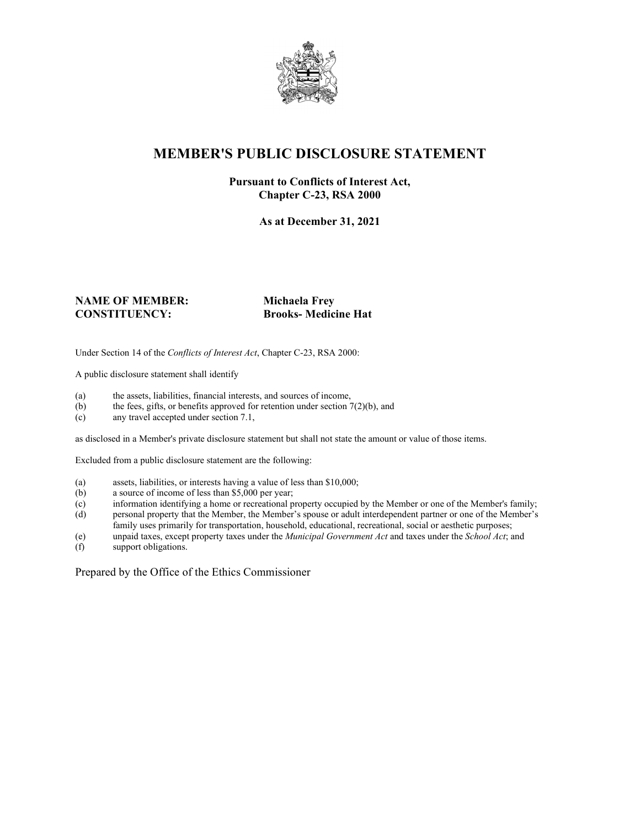

# **MEMBER'S PUBLIC DISCLOSURE STATEMENT**

### **Pursuant to Conflicts of Interest Act, Chapter C-23, RSA 2000**

**As at December 31, 2021**

#### **NAME OF MEMBER: Michaela Frey CONSTITUENCY: Brooks- Medicine Hat**

Under Section 14 of the *Conflicts of Interest Act*, Chapter C-23, RSA 2000:

A public disclosure statement shall identify

- (a) the assets, liabilities, financial interests, and sources of income,  $(b)$  the fees, gifts, or benefits approved for retention under section 7
- the fees, gifts, or benefits approved for retention under section  $7(2)(b)$ , and
- (c) any travel accepted under section 7.1,

as disclosed in a Member's private disclosure statement but shall not state the amount or value of those items.

Excluded from a public disclosure statement are the following:

- (a) assets, liabilities, or interests having a value of less than \$10,000;
- (b) a source of income of less than \$5,000 per year;
- (c) information identifying a home or recreational property occupied by the Member or one of the Member's family;
- (d) personal property that the Member, the Member's spouse or adult interdependent partner or one of the Member's family uses primarily for transportation, household, educational, recreational, social or aesthetic purposes;
- (e) unpaid taxes, except property taxes under the *Municipal Government Act* and taxes under the *School Act*; and
- (f) support obligations.

Prepared by the Office of the Ethics Commissioner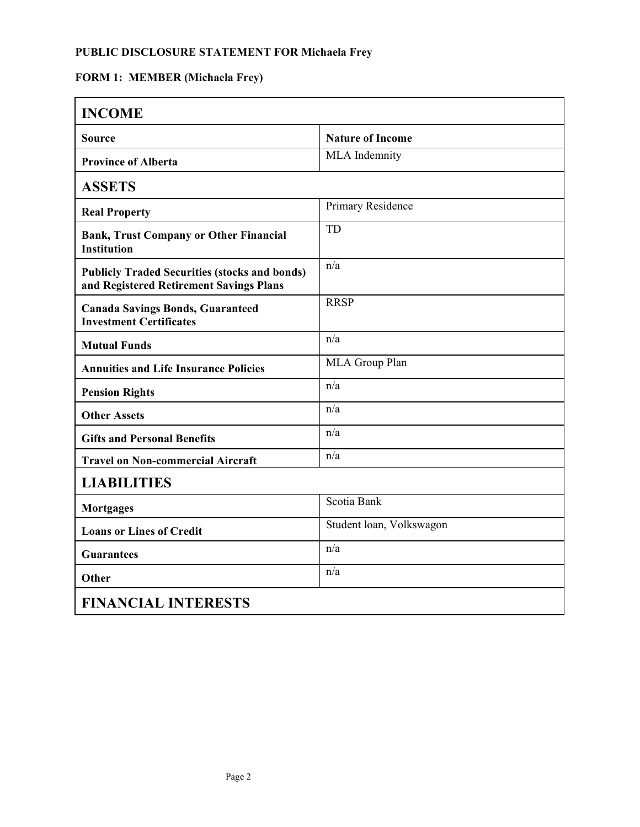## **PUBLIC DISCLOSURE STATEMENT FOR Michaela Frey**

# **FORM 1: MEMBER (Michaela Frey)**

| <b>INCOME</b>                                                                                   |                          |
|-------------------------------------------------------------------------------------------------|--------------------------|
| Source                                                                                          | <b>Nature of Income</b>  |
| <b>Province of Alberta</b>                                                                      | MLA Indemnity            |
| <b>ASSETS</b>                                                                                   |                          |
| <b>Real Property</b>                                                                            | Primary Residence        |
| <b>Bank, Trust Company or Other Financial</b><br><b>Institution</b>                             | <b>TD</b>                |
| <b>Publicly Traded Securities (stocks and bonds)</b><br>and Registered Retirement Savings Plans | n/a                      |
| <b>Canada Savings Bonds, Guaranteed</b><br><b>Investment Certificates</b>                       | <b>RRSP</b>              |
| <b>Mutual Funds</b>                                                                             | n/a                      |
| <b>Annuities and Life Insurance Policies</b>                                                    | MLA Group Plan           |
| <b>Pension Rights</b>                                                                           | n/a                      |
| <b>Other Assets</b>                                                                             | n/a                      |
| <b>Gifts and Personal Benefits</b>                                                              | n/a                      |
| <b>Travel on Non-commercial Aircraft</b>                                                        | n/a                      |
| <b>LIABILITIES</b>                                                                              |                          |
| <b>Mortgages</b>                                                                                | Scotia Bank              |
| <b>Loans or Lines of Credit</b>                                                                 | Student loan, Volkswagon |
| <b>Guarantees</b>                                                                               | n/a                      |
| Other                                                                                           | n/a                      |
| <b>FINANCIAL INTERESTS</b>                                                                      |                          |